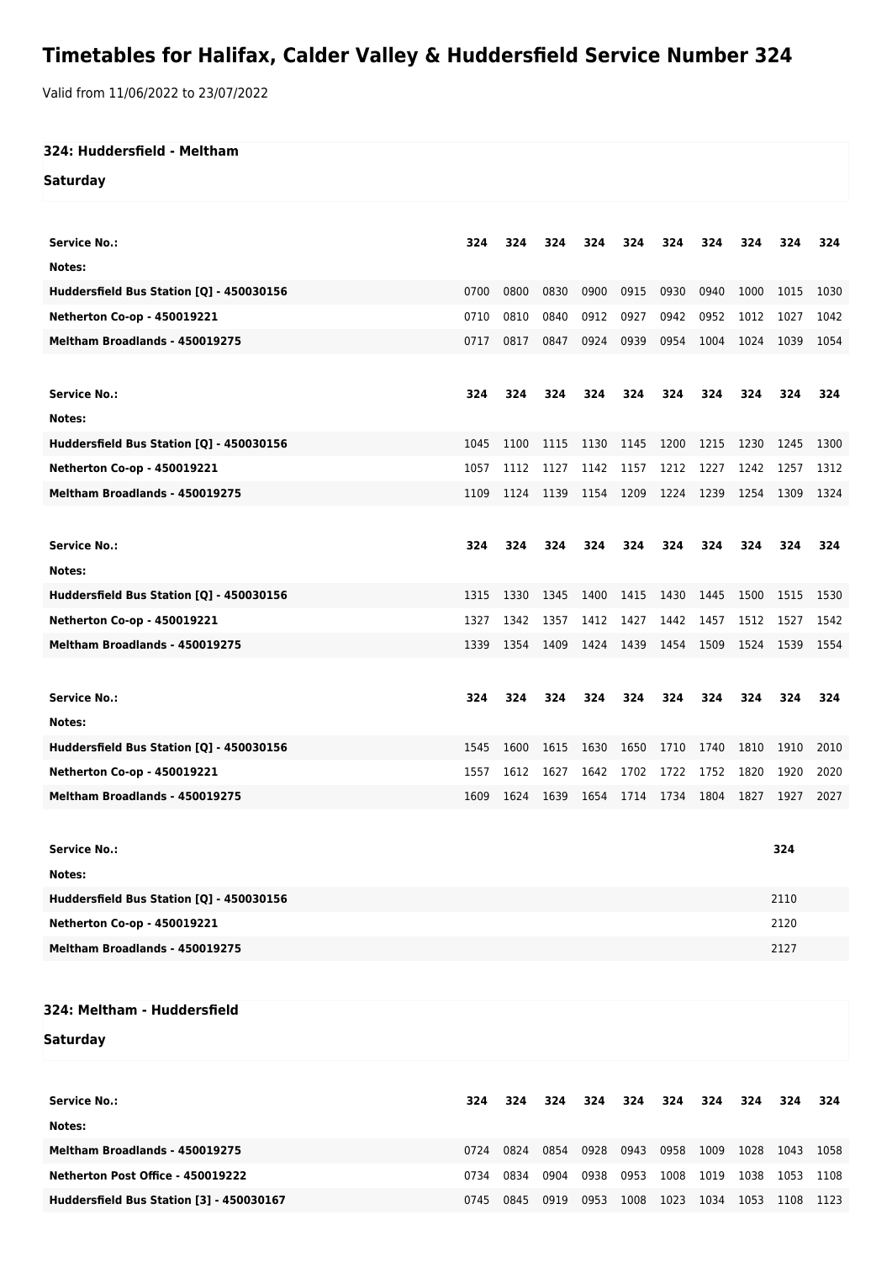## **Timetables for Halifax, Calder Valley & Huddersfield Service Number 324**

Valid from 11/06/2022 to 23/07/2022

## **324: Huddersfield - Meltham**

**Saturday**

| 324<br><b>Service No.:</b><br>324<br>324<br>324<br>324<br>324<br>324<br>324<br>324<br>324<br>Notes:<br>Huddersfield Bus Station [Q] - 450030156<br>0700<br>0800<br>0830<br>0900<br>0915<br>0930<br>0940<br>1000<br>1015<br>1030<br>0810<br>Netherton Co-op - 450019221<br>0710<br>0840<br>0912<br>0927<br>0942<br>0952<br>1012<br>1027<br>1042<br>Meltham Broadlands - 450019275<br>0817<br>0847<br>0924<br>0939<br>0954<br>1004<br>1024<br>0717<br>1039<br>1054<br><b>Service No.:</b><br>324<br>324<br>324<br>324<br>324<br>324<br>324<br>324<br>324<br>324<br>Notes:<br>Huddersfield Bus Station [Q] - 450030156<br>1045<br>1100<br>1130<br>1145<br>1200<br>1215<br>1230<br>1115<br>1245<br>1300<br>Netherton Co-op - 450019221<br>1212<br>1227<br>1057<br>1112<br>1127<br>1142<br>1157<br>1242<br>1257<br>1312<br>Meltham Broadlands - 450019275<br>1209<br>1224<br>1239<br>1109<br>1124<br>1139<br>1154<br>1254<br>1309<br>1324<br><b>Service No.:</b><br>324<br>324<br>324<br>324<br>324<br>324<br>324<br>324<br>324<br>324<br>Notes:<br>Huddersfield Bus Station [Q] - 450030156<br>1330<br>1400<br>1430<br>1445<br>1500<br>1515<br>1315<br>1345<br>1415<br>1530<br><b>Netherton Co-op - 450019221</b><br>1427<br>1442<br>1457<br>1512<br>1327<br>1342<br>1357<br>1412<br>1527<br>1542<br>Meltham Broadlands - 450019275<br>1454<br>1339<br>1354<br>1409<br>1424<br>1439<br>1509<br>1524<br>1539<br>1554<br><b>Service No.:</b><br>324<br>324<br>324<br>324<br>324<br>324<br>324<br>324<br>324<br>324<br>Notes:<br>Huddersfield Bus Station [Q] - 450030156<br>1545<br>1600<br>1615<br>1630<br>1650<br>1710<br>1740<br>1810<br>1910<br>2010<br>Netherton Co-op - 450019221<br>1642<br>1702<br>1722<br>1557<br>1612<br>1627<br>1752<br>1820<br>1920<br>2020<br>Meltham Broadlands - 450019275<br>1734<br>1804<br>2027<br>1609<br>1624<br>1639<br>1654<br>1714<br>1827<br>1927<br><b>Service No.:</b><br>324<br>Notes:<br>Huddersfield Bus Station [Q] - 450030156<br>2110<br>2120<br>Netherton Co-op - 450019221<br>Meltham Broadlands - 450019275<br>2127<br>324: Meltham - Huddersfield |  |  |  |  |  |  |
|-------------------------------------------------------------------------------------------------------------------------------------------------------------------------------------------------------------------------------------------------------------------------------------------------------------------------------------------------------------------------------------------------------------------------------------------------------------------------------------------------------------------------------------------------------------------------------------------------------------------------------------------------------------------------------------------------------------------------------------------------------------------------------------------------------------------------------------------------------------------------------------------------------------------------------------------------------------------------------------------------------------------------------------------------------------------------------------------------------------------------------------------------------------------------------------------------------------------------------------------------------------------------------------------------------------------------------------------------------------------------------------------------------------------------------------------------------------------------------------------------------------------------------------------------------------------------------------------------------------------------------------------------------------------------------------------------------------------------------------------------------------------------------------------------------------------------------------------------------------------------------------------------------------------------------------------------------------------------------------------------------------------------------------------------------------------------------------------------|--|--|--|--|--|--|
|                                                                                                                                                                                                                                                                                                                                                                                                                                                                                                                                                                                                                                                                                                                                                                                                                                                                                                                                                                                                                                                                                                                                                                                                                                                                                                                                                                                                                                                                                                                                                                                                                                                                                                                                                                                                                                                                                                                                                                                                                                                                                                 |  |  |  |  |  |  |
|                                                                                                                                                                                                                                                                                                                                                                                                                                                                                                                                                                                                                                                                                                                                                                                                                                                                                                                                                                                                                                                                                                                                                                                                                                                                                                                                                                                                                                                                                                                                                                                                                                                                                                                                                                                                                                                                                                                                                                                                                                                                                                 |  |  |  |  |  |  |
|                                                                                                                                                                                                                                                                                                                                                                                                                                                                                                                                                                                                                                                                                                                                                                                                                                                                                                                                                                                                                                                                                                                                                                                                                                                                                                                                                                                                                                                                                                                                                                                                                                                                                                                                                                                                                                                                                                                                                                                                                                                                                                 |  |  |  |  |  |  |
|                                                                                                                                                                                                                                                                                                                                                                                                                                                                                                                                                                                                                                                                                                                                                                                                                                                                                                                                                                                                                                                                                                                                                                                                                                                                                                                                                                                                                                                                                                                                                                                                                                                                                                                                                                                                                                                                                                                                                                                                                                                                                                 |  |  |  |  |  |  |
|                                                                                                                                                                                                                                                                                                                                                                                                                                                                                                                                                                                                                                                                                                                                                                                                                                                                                                                                                                                                                                                                                                                                                                                                                                                                                                                                                                                                                                                                                                                                                                                                                                                                                                                                                                                                                                                                                                                                                                                                                                                                                                 |  |  |  |  |  |  |
|                                                                                                                                                                                                                                                                                                                                                                                                                                                                                                                                                                                                                                                                                                                                                                                                                                                                                                                                                                                                                                                                                                                                                                                                                                                                                                                                                                                                                                                                                                                                                                                                                                                                                                                                                                                                                                                                                                                                                                                                                                                                                                 |  |  |  |  |  |  |
|                                                                                                                                                                                                                                                                                                                                                                                                                                                                                                                                                                                                                                                                                                                                                                                                                                                                                                                                                                                                                                                                                                                                                                                                                                                                                                                                                                                                                                                                                                                                                                                                                                                                                                                                                                                                                                                                                                                                                                                                                                                                                                 |  |  |  |  |  |  |
|                                                                                                                                                                                                                                                                                                                                                                                                                                                                                                                                                                                                                                                                                                                                                                                                                                                                                                                                                                                                                                                                                                                                                                                                                                                                                                                                                                                                                                                                                                                                                                                                                                                                                                                                                                                                                                                                                                                                                                                                                                                                                                 |  |  |  |  |  |  |
|                                                                                                                                                                                                                                                                                                                                                                                                                                                                                                                                                                                                                                                                                                                                                                                                                                                                                                                                                                                                                                                                                                                                                                                                                                                                                                                                                                                                                                                                                                                                                                                                                                                                                                                                                                                                                                                                                                                                                                                                                                                                                                 |  |  |  |  |  |  |
|                                                                                                                                                                                                                                                                                                                                                                                                                                                                                                                                                                                                                                                                                                                                                                                                                                                                                                                                                                                                                                                                                                                                                                                                                                                                                                                                                                                                                                                                                                                                                                                                                                                                                                                                                                                                                                                                                                                                                                                                                                                                                                 |  |  |  |  |  |  |
|                                                                                                                                                                                                                                                                                                                                                                                                                                                                                                                                                                                                                                                                                                                                                                                                                                                                                                                                                                                                                                                                                                                                                                                                                                                                                                                                                                                                                                                                                                                                                                                                                                                                                                                                                                                                                                                                                                                                                                                                                                                                                                 |  |  |  |  |  |  |
|                                                                                                                                                                                                                                                                                                                                                                                                                                                                                                                                                                                                                                                                                                                                                                                                                                                                                                                                                                                                                                                                                                                                                                                                                                                                                                                                                                                                                                                                                                                                                                                                                                                                                                                                                                                                                                                                                                                                                                                                                                                                                                 |  |  |  |  |  |  |
|                                                                                                                                                                                                                                                                                                                                                                                                                                                                                                                                                                                                                                                                                                                                                                                                                                                                                                                                                                                                                                                                                                                                                                                                                                                                                                                                                                                                                                                                                                                                                                                                                                                                                                                                                                                                                                                                                                                                                                                                                                                                                                 |  |  |  |  |  |  |
|                                                                                                                                                                                                                                                                                                                                                                                                                                                                                                                                                                                                                                                                                                                                                                                                                                                                                                                                                                                                                                                                                                                                                                                                                                                                                                                                                                                                                                                                                                                                                                                                                                                                                                                                                                                                                                                                                                                                                                                                                                                                                                 |  |  |  |  |  |  |
|                                                                                                                                                                                                                                                                                                                                                                                                                                                                                                                                                                                                                                                                                                                                                                                                                                                                                                                                                                                                                                                                                                                                                                                                                                                                                                                                                                                                                                                                                                                                                                                                                                                                                                                                                                                                                                                                                                                                                                                                                                                                                                 |  |  |  |  |  |  |
|                                                                                                                                                                                                                                                                                                                                                                                                                                                                                                                                                                                                                                                                                                                                                                                                                                                                                                                                                                                                                                                                                                                                                                                                                                                                                                                                                                                                                                                                                                                                                                                                                                                                                                                                                                                                                                                                                                                                                                                                                                                                                                 |  |  |  |  |  |  |
|                                                                                                                                                                                                                                                                                                                                                                                                                                                                                                                                                                                                                                                                                                                                                                                                                                                                                                                                                                                                                                                                                                                                                                                                                                                                                                                                                                                                                                                                                                                                                                                                                                                                                                                                                                                                                                                                                                                                                                                                                                                                                                 |  |  |  |  |  |  |
|                                                                                                                                                                                                                                                                                                                                                                                                                                                                                                                                                                                                                                                                                                                                                                                                                                                                                                                                                                                                                                                                                                                                                                                                                                                                                                                                                                                                                                                                                                                                                                                                                                                                                                                                                                                                                                                                                                                                                                                                                                                                                                 |  |  |  |  |  |  |
|                                                                                                                                                                                                                                                                                                                                                                                                                                                                                                                                                                                                                                                                                                                                                                                                                                                                                                                                                                                                                                                                                                                                                                                                                                                                                                                                                                                                                                                                                                                                                                                                                                                                                                                                                                                                                                                                                                                                                                                                                                                                                                 |  |  |  |  |  |  |
|                                                                                                                                                                                                                                                                                                                                                                                                                                                                                                                                                                                                                                                                                                                                                                                                                                                                                                                                                                                                                                                                                                                                                                                                                                                                                                                                                                                                                                                                                                                                                                                                                                                                                                                                                                                                                                                                                                                                                                                                                                                                                                 |  |  |  |  |  |  |
|                                                                                                                                                                                                                                                                                                                                                                                                                                                                                                                                                                                                                                                                                                                                                                                                                                                                                                                                                                                                                                                                                                                                                                                                                                                                                                                                                                                                                                                                                                                                                                                                                                                                                                                                                                                                                                                                                                                                                                                                                                                                                                 |  |  |  |  |  |  |
|                                                                                                                                                                                                                                                                                                                                                                                                                                                                                                                                                                                                                                                                                                                                                                                                                                                                                                                                                                                                                                                                                                                                                                                                                                                                                                                                                                                                                                                                                                                                                                                                                                                                                                                                                                                                                                                                                                                                                                                                                                                                                                 |  |  |  |  |  |  |
|                                                                                                                                                                                                                                                                                                                                                                                                                                                                                                                                                                                                                                                                                                                                                                                                                                                                                                                                                                                                                                                                                                                                                                                                                                                                                                                                                                                                                                                                                                                                                                                                                                                                                                                                                                                                                                                                                                                                                                                                                                                                                                 |  |  |  |  |  |  |
|                                                                                                                                                                                                                                                                                                                                                                                                                                                                                                                                                                                                                                                                                                                                                                                                                                                                                                                                                                                                                                                                                                                                                                                                                                                                                                                                                                                                                                                                                                                                                                                                                                                                                                                                                                                                                                                                                                                                                                                                                                                                                                 |  |  |  |  |  |  |
|                                                                                                                                                                                                                                                                                                                                                                                                                                                                                                                                                                                                                                                                                                                                                                                                                                                                                                                                                                                                                                                                                                                                                                                                                                                                                                                                                                                                                                                                                                                                                                                                                                                                                                                                                                                                                                                                                                                                                                                                                                                                                                 |  |  |  |  |  |  |
|                                                                                                                                                                                                                                                                                                                                                                                                                                                                                                                                                                                                                                                                                                                                                                                                                                                                                                                                                                                                                                                                                                                                                                                                                                                                                                                                                                                                                                                                                                                                                                                                                                                                                                                                                                                                                                                                                                                                                                                                                                                                                                 |  |  |  |  |  |  |
|                                                                                                                                                                                                                                                                                                                                                                                                                                                                                                                                                                                                                                                                                                                                                                                                                                                                                                                                                                                                                                                                                                                                                                                                                                                                                                                                                                                                                                                                                                                                                                                                                                                                                                                                                                                                                                                                                                                                                                                                                                                                                                 |  |  |  |  |  |  |
|                                                                                                                                                                                                                                                                                                                                                                                                                                                                                                                                                                                                                                                                                                                                                                                                                                                                                                                                                                                                                                                                                                                                                                                                                                                                                                                                                                                                                                                                                                                                                                                                                                                                                                                                                                                                                                                                                                                                                                                                                                                                                                 |  |  |  |  |  |  |
|                                                                                                                                                                                                                                                                                                                                                                                                                                                                                                                                                                                                                                                                                                                                                                                                                                                                                                                                                                                                                                                                                                                                                                                                                                                                                                                                                                                                                                                                                                                                                                                                                                                                                                                                                                                                                                                                                                                                                                                                                                                                                                 |  |  |  |  |  |  |
|                                                                                                                                                                                                                                                                                                                                                                                                                                                                                                                                                                                                                                                                                                                                                                                                                                                                                                                                                                                                                                                                                                                                                                                                                                                                                                                                                                                                                                                                                                                                                                                                                                                                                                                                                                                                                                                                                                                                                                                                                                                                                                 |  |  |  |  |  |  |
|                                                                                                                                                                                                                                                                                                                                                                                                                                                                                                                                                                                                                                                                                                                                                                                                                                                                                                                                                                                                                                                                                                                                                                                                                                                                                                                                                                                                                                                                                                                                                                                                                                                                                                                                                                                                                                                                                                                                                                                                                                                                                                 |  |  |  |  |  |  |

**Saturday**

| Service No.:<br>Notes:                   | 324  | 324  | 324  | 324  | 324  | 324  | 324  | 324  | 324  | 324  |
|------------------------------------------|------|------|------|------|------|------|------|------|------|------|
| Meltham Broadlands - 450019275           | 0724 | 0824 | 0854 | 0928 | 0943 | 0958 | 1009 | 1028 | 1043 | 1058 |
| Netherton Post Office - 450019222        | 0734 | 0834 | 0904 | 0938 | 0953 | 1008 | 1019 | 1038 | 1053 | 1108 |
| Huddersfield Bus Station [3] - 450030167 | 0745 | 0845 | 0919 | 0953 | 1008 | 1023 | 1034 | 1053 | 1108 | 1123 |